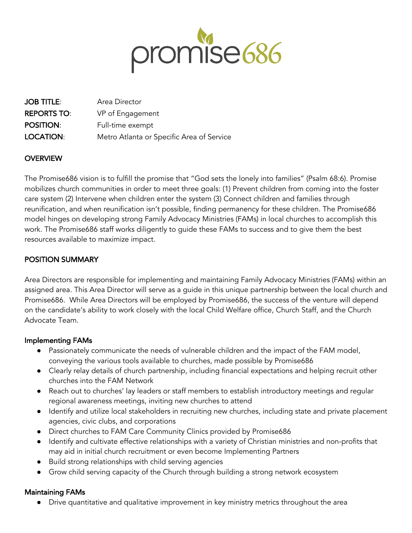

| <b>JOB TITLE:</b>  | Area Director                             |
|--------------------|-------------------------------------------|
| <b>REPORTS TO:</b> | VP of Engagement                          |
| <b>POSITION:</b>   | Full-time exempt                          |
| LOCATION:          | Metro Atlanta or Specific Area of Service |

## **OVERVIEW**

The Promise686 vision is to fulfill the promise that "God sets the lonely into families" (Psalm 68:6). Promise mobilizes church communities in order to meet three goals: (1) Prevent children from coming into the foster care system (2) Intervene when children enter the system (3) Connect children and families through reunification, and when reunification isn't possible, finding permanency for these children. The Promise686 model hinges on developing strong Family Advocacy Ministries (FAMs) in local churches to accomplish this work. The Promise686 staff works diligently to guide these FAMs to success and to give them the best resources available to maximize impact.

# POSITION SUMMARY

Area Directors are responsible for implementing and maintaining Family Advocacy Ministries (FAMs) within an assigned area. This Area Director will serve as a guide in this unique partnership between the local church and Promise686. While Area Directors will be employed by Promise686, the success of the venture will depend on the candidate's ability to work closely with the local Child Welfare office, Church Staff, and the Church Advocate Team.

#### Implementing FAMs

- Passionately communicate the needs of vulnerable children and the impact of the FAM model, conveying the various tools available to churches, made possible by Promise686
- Clearly relay details of church partnership, including financial expectations and helping recruit other churches into the FAM Network
- Reach out to churches' lay leaders or staff members to establish introductory meetings and regular regional awareness meetings, inviting new churches to attend
- Identify and utilize local stakeholders in recruiting new churches, including state and private placement agencies, civic clubs, and corporations
- Direct churches to FAM Care Community Clinics provided by Promise686
- Identify and cultivate effective relationships with a variety of Christian ministries and non-profits that may aid in initial church recruitment or even become Implementing Partners
- Build strong relationships with child serving agencies
- Grow child serving capacity of the Church through building a strong network ecosystem

## Maintaining FAMs

● Drive quantitative and qualitative improvement in key ministry metrics throughout the area